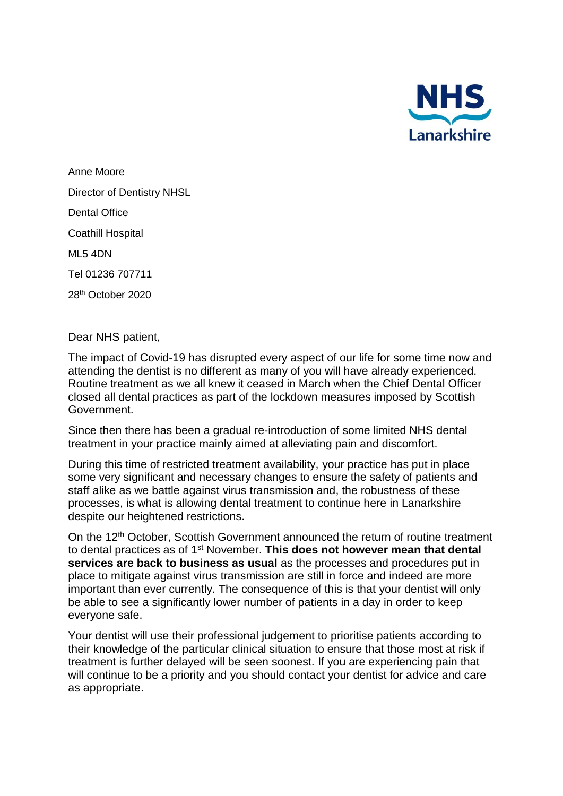

Anne Moore Director of Dentistry NHSL Dental Office Coathill Hospital ML5 4DN Tel 01236 707711 28th October 2020

Dear NHS patient,

The impact of Covid-19 has disrupted every aspect of our life for some time now and attending the dentist is no different as many of you will have already experienced. Routine treatment as we all knew it ceased in March when the Chief Dental Officer closed all dental practices as part of the lockdown measures imposed by Scottish Government.

Since then there has been a gradual re-introduction of some limited NHS dental treatment in your practice mainly aimed at alleviating pain and discomfort.

During this time of restricted treatment availability, your practice has put in place some very significant and necessary changes to ensure the safety of patients and staff alike as we battle against virus transmission and, the robustness of these processes, is what is allowing dental treatment to continue here in Lanarkshire despite our heightened restrictions.

On the 12<sup>th</sup> October, Scottish Government announced the return of routine treatment to dental practices as of 1st November. **This does not however mean that dental services are back to business as usual** as the processes and procedures put in place to mitigate against virus transmission are still in force and indeed are more important than ever currently. The consequence of this is that your dentist will only be able to see a significantly lower number of patients in a day in order to keep everyone safe.

Your dentist will use their professional judgement to prioritise patients according to their knowledge of the particular clinical situation to ensure that those most at risk if treatment is further delayed will be seen soonest. If you are experiencing pain that will continue to be a priority and you should contact your dentist for advice and care as appropriate.